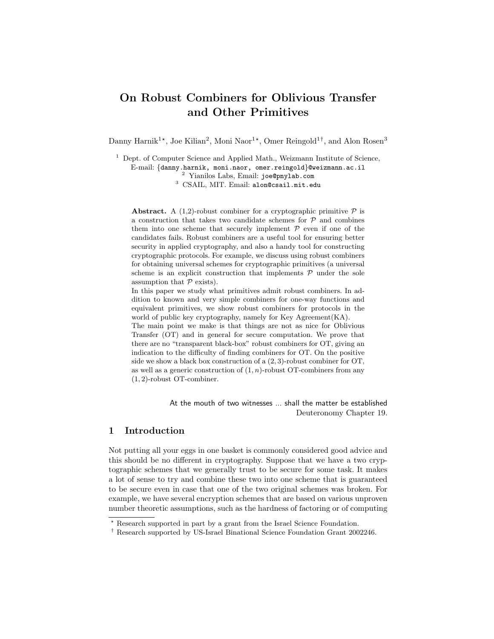# On Robust Combiners for Oblivious Transfer and Other Primitives

Danny Harnik<sup>1\*</sup>, Joe Kilian<sup>2</sup>, Moni Naor<sup>1\*</sup>, Omer Reingold<sup>1†</sup>, and Alon Rosen<sup>3</sup>

<sup>1</sup> Dept. of Computer Science and Applied Math., Weizmann Institute of Science,

E-mail: {danny.harnik, moni.naor, omer.reingold}@weizmann.ac.il

<sup>2</sup> Yianilos Labs, Email: joe@pnylab.com

<sup>3</sup> CSAIL, MIT. Email: alon@csail.mit.edu

**Abstract.** A (1,2)-robust combiner for a cryptographic primitive  $\mathcal{P}$  is a construction that takes two candidate schemes for  $P$  and combines them into one scheme that securely implement  $P$  even if one of the candidates fails. Robust combiners are a useful tool for ensuring better security in applied cryptography, and also a handy tool for constructing cryptographic protocols. For example, we discuss using robust combiners for obtaining universal schemes for cryptographic primitives (a universal scheme is an explicit construction that implements  $P$  under the sole assumption that  $P$  exists).

In this paper we study what primitives admit robust combiners. In addition to known and very simple combiners for one-way functions and equivalent primitives, we show robust combiners for protocols in the world of public key cryptography, namely for Key Agreement(KA).

The main point we make is that things are not as nice for Oblivious Transfer (OT) and in general for secure computation. We prove that there are no "transparent black-box" robust combiners for OT, giving an indication to the difficulty of finding combiners for OT. On the positive side we show a black box construction of a  $(2, 3)$ -robust combiner for OT, as well as a generic construction of  $(1, n)$ -robust OT-combiners from any (1, 2)-robust OT-combiner.

> At the mouth of two witnesses ... shall the matter be established Deuteronomy Chapter 19.

# 1 Introduction

Not putting all your eggs in one basket is commonly considered good advice and this should be no different in cryptography. Suppose that we have a two cryptographic schemes that we generally trust to be secure for some task. It makes a lot of sense to try and combine these two into one scheme that is guaranteed to be secure even in case that one of the two original schemes was broken. For example, we have several encryption schemes that are based on various unproven number theoretic assumptions, such as the hardness of factoring or of computing

<sup>?</sup> Research supported in part by a grant from the Israel Science Foundation.

<sup>†</sup> Research supported by US-Israel Binational Science Foundation Grant 2002246.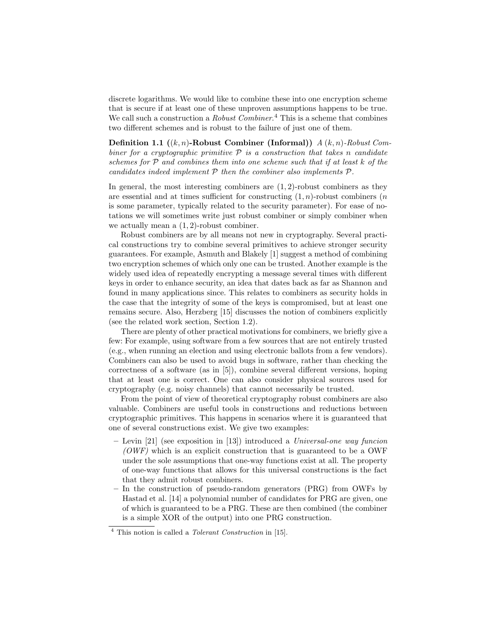discrete logarithms. We would like to combine these into one encryption scheme that is secure if at least one of these unproven assumptions happens to be true. We call such a construction a *Robust Combiner*.<sup>4</sup> This is a scheme that combines two different schemes and is robust to the failure of just one of them.

**Definition 1.1**  $((k, n)$ -Robust Combiner (Informal)) A  $(k, n)$ -Robust Combiner for a cryptographic primitive  $P$  is a construction that takes n candidate schemes for  $P$  and combines them into one scheme such that if at least k of the candidates indeed implement  $P$  then the combiner also implements  $P$ .

In general, the most interesting combiners are  $(1, 2)$ -robust combiners as they are essential and at times sufficient for constructing  $(1, n)$ -robust combiners  $(n)$ is some parameter, typically related to the security parameter). For ease of notations we will sometimes write just robust combiner or simply combiner when we actually mean a  $(1, 2)$ -robust combiner.

Robust combiners are by all means not new in cryptography. Several practical constructions try to combine several primitives to achieve stronger security guarantees. For example, Asmuth and Blakely [1] suggest a method of combining two encryption schemes of which only one can be trusted. Another example is the widely used idea of repeatedly encrypting a message several times with different keys in order to enhance security, an idea that dates back as far as Shannon and found in many applications since. This relates to combiners as security holds in the case that the integrity of some of the keys is compromised, but at least one remains secure. Also, Herzberg [15] discusses the notion of combiners explicitly (see the related work section, Section 1.2).

There are plenty of other practical motivations for combiners, we briefly give a few: For example, using software from a few sources that are not entirely trusted (e.g., when running an election and using electronic ballots from a few vendors). Combiners can also be used to avoid bugs in software, rather than checking the correctness of a software (as in [5]), combine several different versions, hoping that at least one is correct. One can also consider physical sources used for cryptography (e.g. noisy channels) that cannot necessarily be trusted.

From the point of view of theoretical cryptography robust combiners are also valuable. Combiners are useful tools in constructions and reductions between cryptographic primitives. This happens in scenarios where it is guaranteed that one of several constructions exist. We give two examples:

- Levin [21] (see exposition in [13]) introduced a Universal-one way funcion (OWF) which is an explicit construction that is guaranteed to be a OWF under the sole assumptions that one-way functions exist at all. The property of one-way functions that allows for this universal constructions is the fact that they admit robust combiners.
- In the construction of pseudo-random generators (PRG) from OWFs by Hastad et al. [14] a polynomial number of candidates for PRG are given, one of which is guaranteed to be a PRG. These are then combined (the combiner is a simple XOR of the output) into one PRG construction.

 $4$  This notion is called a *Tolerant Construction* in [15].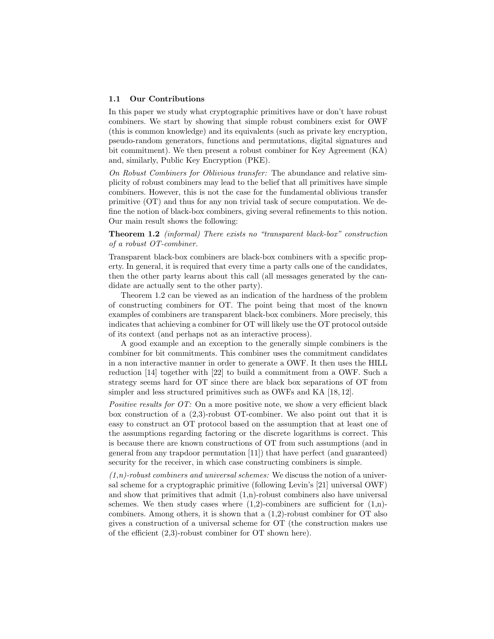## 1.1 Our Contributions

In this paper we study what cryptographic primitives have or don't have robust combiners. We start by showing that simple robust combiners exist for OWF (this is common knowledge) and its equivalents (such as private key encryption, pseudo-random generators, functions and permutations, digital signatures and bit commitment). We then present a robust combiner for Key Agreement (KA) and, similarly, Public Key Encryption (PKE).

On Robust Combiners for Oblivious transfer: The abundance and relative simplicity of robust combiners may lead to the belief that all primitives have simple combiners. However, this is not the case for the fundamental oblivious transfer primitive (OT) and thus for any non trivial task of secure computation. We define the notion of black-box combiners, giving several refinements to this notion. Our main result shows the following:

Theorem 1.2 (informal) There exists no "transparent black-box" construction of a robust OT-combiner.

Transparent black-box combiners are black-box combiners with a specific property. In general, it is required that every time a party calls one of the candidates, then the other party learns about this call (all messages generated by the candidate are actually sent to the other party).

Theorem 1.2 can be viewed as an indication of the hardness of the problem of constructing combiners for OT. The point being that most of the known examples of combiners are transparent black-box combiners. More precisely, this indicates that achieving a combiner for OT will likely use the OT protocol outside of its context (and perhaps not as an interactive process).

A good example and an exception to the generally simple combiners is the combiner for bit commitments. This combiner uses the commitment candidates in a non interactive manner in order to generate a OWF. It then uses the HILL reduction [14] together with [22] to build a commitment from a OWF. Such a strategy seems hard for OT since there are black box separations of OT from simpler and less structured primitives such as OWFs and KA [18, 12].

Positive results for OT: On a more positive note, we show a very efficient black box construction of a (2,3)-robust OT-combiner. We also point out that it is easy to construct an OT protocol based on the assumption that at least one of the assumptions regarding factoring or the discrete logarithms is correct. This is because there are known constructions of OT from such assumptions (and in general from any trapdoor permutation [11]) that have perfect (and guaranteed) security for the receiver, in which case constructing combiners is simple.

 $(1,n)$ -robust combiners and universal schemes: We discuss the notion of a universal scheme for a cryptographic primitive (following Levin's [21] universal OWF) and show that primitives that admit  $(1,n)$ -robust combiners also have universal schemes. We then study cases where  $(1,2)$ -combiners are sufficient for  $(1,n)$ combiners. Among others, it is shown that a (1,2)-robust combiner for OT also gives a construction of a universal scheme for OT (the construction makes use of the efficient (2,3)-robust combiner for OT shown here).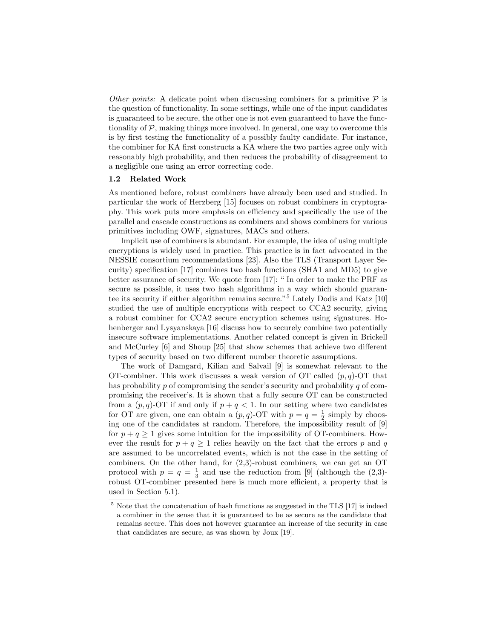Other points: A delicate point when discussing combiners for a primitive  $P$  is the question of functionality. In some settings, while one of the input candidates is guaranteed to be secure, the other one is not even guaranteed to have the functionality of  $P$ , making things more involved. In general, one way to overcome this is by first testing the functionality of a possibly faulty candidate. For instance, the combiner for KA first constructs a KA where the two parties agree only with reasonably high probability, and then reduces the probability of disagreement to a negligible one using an error correcting code.

#### 1.2 Related Work

As mentioned before, robust combiners have already been used and studied. In particular the work of Herzberg [15] focuses on robust combiners in cryptography. This work puts more emphasis on efficiency and specifically the use of the parallel and cascade constructions as combiners and shows combiners for various primitives including OWF, signatures, MACs and others.

Implicit use of combiners is abundant. For example, the idea of using multiple encryptions is widely used in practice. This practice is in fact advocated in the NESSIE consortium recommendations [23]. Also the TLS (Transport Layer Security) specification [17] combines two hash functions (SHA1 and MD5) to give better assurance of security. We quote from [17]: " In order to make the PRF as secure as possible, it uses two hash algorithms in a way which should guarantee its security if either algorithm remains secure."<sup>5</sup> Lately Dodis and Katz [10] studied the use of multiple encryptions with respect to CCA2 security, giving a robust combiner for CCA2 secure encryption schemes using signatures. Hohenberger and Lysyanskaya [16] discuss how to securely combine two potentially insecure software implementations. Another related concept is given in Brickell and McCurley [6] and Shoup [25] that show schemes that achieve two different types of security based on two different number theoretic assumptions.

The work of Damgard, Kilian and Salvail [9] is somewhat relevant to the OT-combiner. This work discusses a weak version of OT called  $(p, q)$ -OT that has probability p of compromising the sender's security and probability q of compromising the receiver's. It is shown that a fully secure OT can be constructed from a  $(p, q)$ -OT if and only if  $p + q < 1$ . In our setting where two candidates for OT are given, one can obtain a  $(p, q)$ -OT with  $p = q = \frac{1}{2}$  simply by choosing one of the candidates at random. Therefore, the impossibility result of [9] for  $p + q \ge 1$  gives some intuition for the impossibility of OT-combiners. However the result for  $p + q \ge 1$  relies heavily on the fact that the errors p and q are assumed to be uncorrelated events, which is not the case in the setting of combiners. On the other hand, for (2,3)-robust combiners, we can get an OT protocol with  $p = q = \frac{1}{3}$  and use the reduction from [9] (although the (2,3)robust OT-combiner presented here is much more efficient, a property that is used in Section 5.1).

<sup>&</sup>lt;sup>5</sup> Note that the concatenation of hash functions as suggested in the TLS [17] is indeed a combiner in the sense that it is guaranteed to be as secure as the candidate that remains secure. This does not however guarantee an increase of the security in case that candidates are secure, as was shown by Joux [19].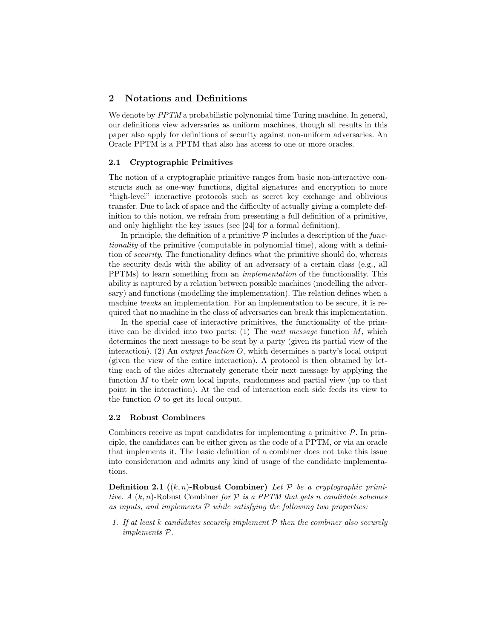## 2 Notations and Definitions

We denote by  $PPTM$  a probabilistic polynomial time Turing machine. In general, our definitions view adversaries as uniform machines, though all results in this paper also apply for definitions of security against non-uniform adversaries. An Oracle PPTM is a PPTM that also has access to one or more oracles.

## 2.1 Cryptographic Primitives

The notion of a cryptographic primitive ranges from basic non-interactive constructs such as one-way functions, digital signatures and encryption to more "high-level" interactive protocols such as secret key exchange and oblivious transfer. Due to lack of space and the difficulty of actually giving a complete definition to this notion, we refrain from presenting a full definition of a primitive, and only highlight the key issues (see [24] for a formal definition).

In principle, the definition of a primitive  $P$  includes a description of the functionality of the primitive (computable in polynomial time), along with a definition of security. The functionality defines what the primitive should do, whereas the security deals with the ability of an adversary of a certain class (e.g., all PPTMs) to learn something from an implementation of the functionality. This ability is captured by a relation between possible machines (modelling the adversary) and functions (modelling the implementation). The relation defines when a machine breaks an implementation. For an implementation to be secure, it is required that no machine in the class of adversaries can break this implementation.

In the special case of interactive primitives, the functionality of the primitive can be divided into two parts: (1) The *next message* function  $M$ , which determines the next message to be sent by a party (given its partial view of the interaction). (2) An *output function O*, which determines a party's local output (given the view of the entire interaction). A protocol is then obtained by letting each of the sides alternately generate their next message by applying the function M to their own local inputs, randomness and partial view (up to that point in the interaction). At the end of interaction each side feeds its view to the function O to get its local output.

## 2.2 Robust Combiners

Combiners receive as input candidates for implementing a primitive  $P$ . In principle, the candidates can be either given as the code of a PPTM, or via an oracle that implements it. The basic definition of a combiner does not take this issue into consideration and admits any kind of usage of the candidate implementations.

**Definition 2.1** ((k, n)-Robust Combiner) Let  $P$  be a cryptographic primitive. A  $(k, n)$ -Robust Combiner for  $P$  is a PPTM that gets n candidate schemes as inputs, and implements  $P$  while satisfying the following two properties:

1. If at least  $k$  candidates securely implement  $P$  then the combiner also securely implements P.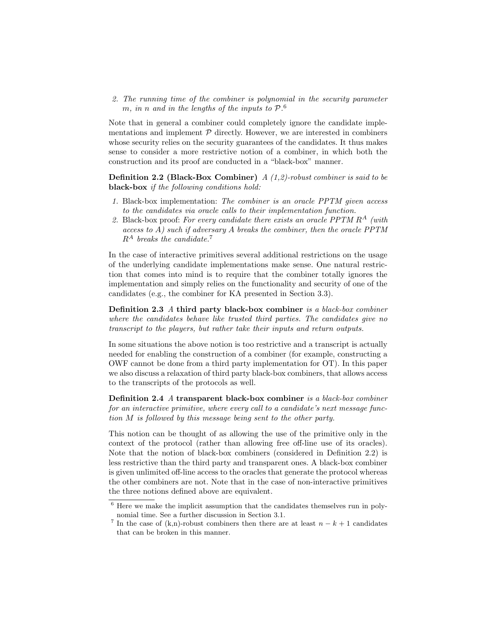2. The running time of the combiner is polynomial in the security parameter m, in n and in the lengths of the inputs to  $P^{\,6}$ 

Note that in general a combiner could completely ignore the candidate implementations and implement  $P$  directly. However, we are interested in combiners whose security relies on the security guarantees of the candidates. It thus makes sense to consider a more restrictive notion of a combiner, in which both the construction and its proof are conducted in a "black-box" manner.

**Definition 2.2 (Black-Box Combiner)** A  $(1,2)$ -robust combiner is said to be black-box if the following conditions hold:

- 1. Black-box implementation: The combiner is an oracle PPTM given access to the candidates via oracle calls to their implementation function.
- 2. Black-box proof: For every candidate there exists an oracle PPTM  $R^A$  (with access to A) such if adversary A breaks the combiner, then the oracle  $PPTM$  $R^A$  breaks the candidate.<sup>7</sup>

In the case of interactive primitives several additional restrictions on the usage of the underlying candidate implementations make sense. One natural restriction that comes into mind is to require that the combiner totally ignores the implementation and simply relies on the functionality and security of one of the candidates (e.g., the combiner for KA presented in Section 3.3).

Definition 2.3 A third party black-box combiner is a black-box combiner where the candidates behave like trusted third parties. The candidates give no transcript to the players, but rather take their inputs and return outputs.

In some situations the above notion is too restrictive and a transcript is actually needed for enabling the construction of a combiner (for example, constructing a OWF cannot be done from a third party implementation for OT). In this paper we also discuss a relaxation of third party black-box combiners, that allows access to the transcripts of the protocols as well.

Definition 2.4 A transparent black-box combiner is a black-box combiner for an interactive primitive, where every call to a candidate's next message function M is followed by this message being sent to the other party.

This notion can be thought of as allowing the use of the primitive only in the context of the protocol (rather than allowing free off-line use of its oracles). Note that the notion of black-box combiners (considered in Definition 2.2) is less restrictive than the third party and transparent ones. A black-box combiner is given unlimited off-line access to the oracles that generate the protocol whereas the other combiners are not. Note that in the case of non-interactive primitives the three notions defined above are equivalent.

 $\frac{6}{6}$  Here we make the implicit assumption that the candidates themselves run in polynomial time. See a further discussion in Section 3.1.

<sup>&</sup>lt;sup>7</sup> In the case of (k,n)-robust combiners then there are at least  $n - k + 1$  candidates that can be broken in this manner.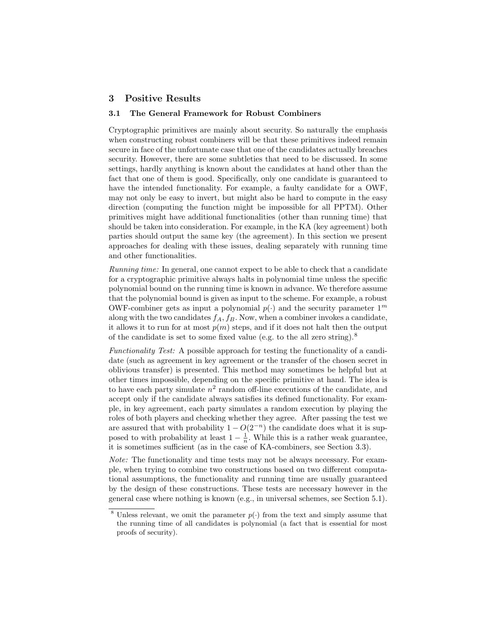# 3 Positive Results

## 3.1 The General Framework for Robust Combiners

Cryptographic primitives are mainly about security. So naturally the emphasis when constructing robust combiners will be that these primitives indeed remain secure in face of the unfortunate case that one of the candidates actually breaches security. However, there are some subtleties that need to be discussed. In some settings, hardly anything is known about the candidates at hand other than the fact that one of them is good. Specifically, only one candidate is guaranteed to have the intended functionality. For example, a faulty candidate for a OWF, may not only be easy to invert, but might also be hard to compute in the easy direction (computing the function might be impossible for all PPTM). Other primitives might have additional functionalities (other than running time) that should be taken into consideration. For example, in the KA (key agreement) both parties should output the same key (the agreement). In this section we present approaches for dealing with these issues, dealing separately with running time and other functionalities.

Running time: In general, one cannot expect to be able to check that a candidate for a cryptographic primitive always halts in polynomial time unless the specific polynomial bound on the running time is known in advance. We therefore assume that the polynomial bound is given as input to the scheme. For example, a robust OWF-combiner gets as input a polynomial  $p(\cdot)$  and the security parameter  $1^m$ along with the two candidates  $f_A, f_B$ . Now, when a combiner invokes a candidate, it allows it to run for at most  $p(m)$  steps, and if it does not halt then the output of the candidate is set to some fixed value (e.g. to the all zero string).<sup>8</sup>

Functionality Test: A possible approach for testing the functionality of a candidate (such as agreement in key agreement or the transfer of the chosen secret in oblivious transfer) is presented. This method may sometimes be helpful but at other times impossible, depending on the specific primitive at hand. The idea is to have each party simulate  $n^2$  random off-line executions of the candidate, and accept only if the candidate always satisfies its defined functionality. For example, in key agreement, each party simulates a random execution by playing the roles of both players and checking whether they agree. After passing the test we are assured that with probability  $1 - O(2^{-n})$  the candidate does what it is supposed to with probability at least  $1 - \frac{1}{n}$ . While this is a rather weak guarantee, it is sometimes sufficient (as in the case of KA-combiners, see Section 3.3).

Note: The functionality and time tests may not be always necessary. For example, when trying to combine two constructions based on two different computational assumptions, the functionality and running time are usually guaranteed by the design of these constructions. These tests are necessary however in the general case where nothing is known (e.g., in universal schemes, see Section 5.1).

<sup>&</sup>lt;sup>8</sup> Unless relevant, we omit the parameter  $p(\cdot)$  from the text and simply assume that the running time of all candidates is polynomial (a fact that is essential for most proofs of security).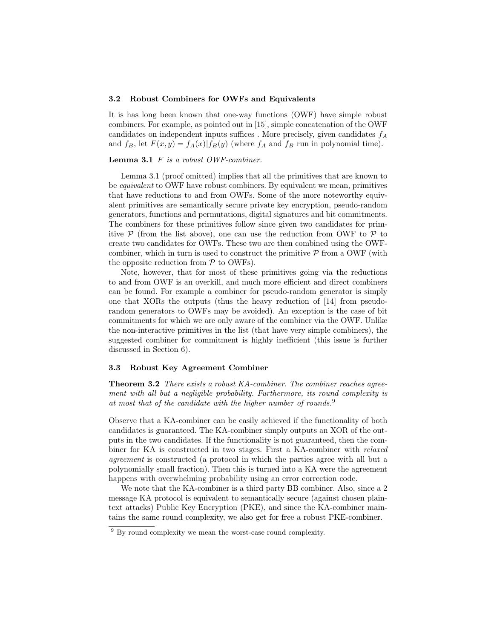#### 3.2 Robust Combiners for OWFs and Equivalents

It is has long been known that one-way functions (OWF) have simple robust combiners. For example, as pointed out in [15], simple concatenation of the OWF candidates on independent inputs suffices. More precisely, given candidates  $f_A$ and  $f_B$ , let  $F(x, y) = f_A(x)|f_B(y)$  (where  $f_A$  and  $f_B$  run in polynomial time).

## **Lemma 3.1**  $F$  is a robust OWF-combiner.

Lemma 3.1 (proof omitted) implies that all the primitives that are known to be equivalent to OWF have robust combiners. By equivalent we mean, primitives that have reductions to and from OWFs. Some of the more noteworthy equivalent primitives are semantically secure private key encryption, pseudo-random generators, functions and permutations, digital signatures and bit commitments. The combiners for these primitives follow since given two candidates for primitive  $P$  (from the list above), one can use the reduction from OWF to  $P$  to create two candidates for OWFs. These two are then combined using the OWFcombiner, which in turn is used to construct the primitive  $P$  from a OWF (with the opposite reduction from  $P$  to OWFs).

Note, however, that for most of these primitives going via the reductions to and from OWF is an overkill, and much more efficient and direct combiners can be found. For example a combiner for pseudo-random generator is simply one that XORs the outputs (thus the heavy reduction of [14] from pseudorandom generators to OWFs may be avoided). An exception is the case of bit commitments for which we are only aware of the combiner via the OWF. Unlike the non-interactive primitives in the list (that have very simple combiners), the suggested combiner for commitment is highly inefficient (this issue is further discussed in Section 6).

## 3.3 Robust Key Agreement Combiner

**Theorem 3.2** There exists a robust KA-combiner. The combiner reaches agreement with all but a negligible probability. Furthermore, its round complexity is at most that of the candidate with the higher number of rounds.<sup>9</sup>

Observe that a KA-combiner can be easily achieved if the functionality of both candidates is guaranteed. The KA-combiner simply outputs an XOR of the outputs in the two candidates. If the functionality is not guaranteed, then the combiner for KA is constructed in two stages. First a KA-combiner with relaxed agreement is constructed (a protocol in which the parties agree with all but a polynomially small fraction). Then this is turned into a KA were the agreement happens with overwhelming probability using an error correction code.

We note that the KA-combiner is a third party BB combiner. Also, since a 2 message KA protocol is equivalent to semantically secure (against chosen plaintext attacks) Public Key Encryption (PKE), and since the KA-combiner maintains the same round complexity, we also get for free a robust PKE-combiner.

<sup>&</sup>lt;sup>9</sup> By round complexity we mean the worst-case round complexity.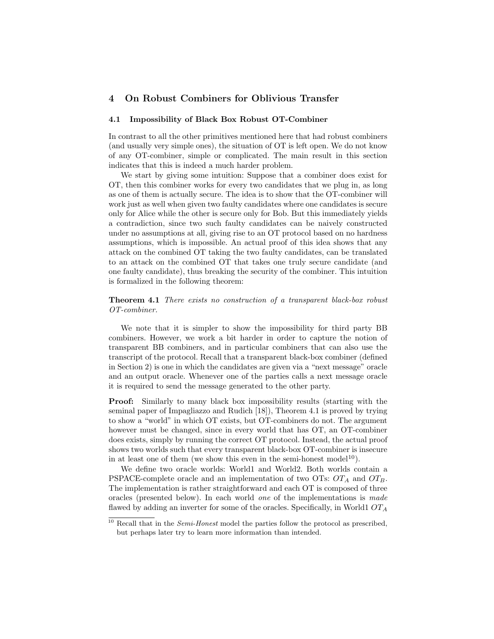# 4 On Robust Combiners for Oblivious Transfer

#### 4.1 Impossibility of Black Box Robust OT-Combiner

In contrast to all the other primitives mentioned here that had robust combiners (and usually very simple ones), the situation of OT is left open. We do not know of any OT-combiner, simple or complicated. The main result in this section indicates that this is indeed a much harder problem.

We start by giving some intuition: Suppose that a combiner does exist for OT, then this combiner works for every two candidates that we plug in, as long as one of them is actually secure. The idea is to show that the OT-combiner will work just as well when given two faulty candidates where one candidates is secure only for Alice while the other is secure only for Bob. But this immediately yields a contradiction, since two such faulty candidates can be naively constructed under no assumptions at all, giving rise to an OT protocol based on no hardness assumptions, which is impossible. An actual proof of this idea shows that any attack on the combined OT taking the two faulty candidates, can be translated to an attack on the combined OT that takes one truly secure candidate (and one faulty candidate), thus breaking the security of the combiner. This intuition is formalized in the following theorem:

## Theorem 4.1 There exists no construction of a transparent black-box robust OT-combiner.

We note that it is simpler to show the impossibility for third party BB combiners. However, we work a bit harder in order to capture the notion of transparent BB combiners, and in particular combiners that can also use the transcript of the protocol. Recall that a transparent black-box combiner (defined in Section 2) is one in which the candidates are given via a "next message" oracle and an output oracle. Whenever one of the parties calls a next message oracle it is required to send the message generated to the other party.

Proof: Similarly to many black box impossibility results (starting with the seminal paper of Impagliazzo and Rudich [18]), Theorem 4.1 is proved by trying to show a "world" in which OT exists, but OT-combiners do not. The argument however must be changed, since in every world that has OT, an OT-combiner does exists, simply by running the correct OT protocol. Instead, the actual proof shows two worlds such that every transparent black-box OT-combiner is insecure in at least one of them (we show this even in the semi-honest model<sup>10</sup>).

We define two oracle worlds: World1 and World2. Both worlds contain a PSPACE-complete oracle and an implementation of two OTs:  $OT_A$  and  $OT_B$ . The implementation is rather straightforward and each OT is composed of three oracles (presented below). In each world one of the implementations is made flawed by adding an inverter for some of the oracles. Specifically, in World1  $OT<sub>A</sub>$ 

 $10$  Recall that in the *Semi-Honest* model the parties follow the protocol as prescribed, but perhaps later try to learn more information than intended.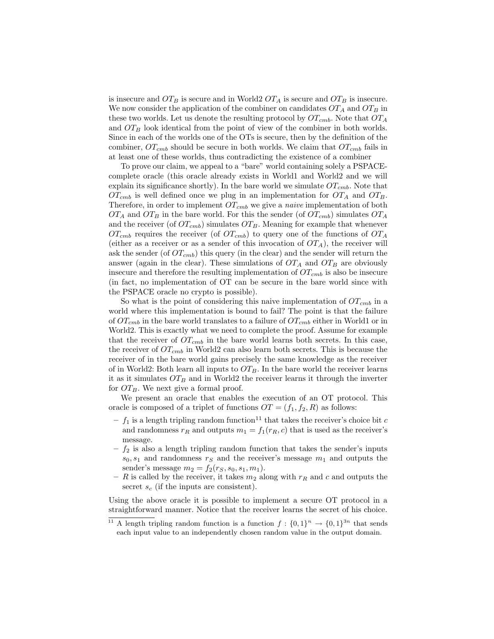is insecure and  $OT_B$  is secure and in World2  $OT_A$  is secure and  $OT_B$  is insecure. We now consider the application of the combiner on candidates  $OT_A$  and  $OT_B$  in these two worlds. Let us denote the resulting protocol by  $OT_{cmb}$ . Note that  $OT_A$ and  $OT_B$  look identical from the point of view of the combiner in both worlds. Since in each of the worlds one of the OTs is secure, then by the definition of the combiner,  $OT_{cmb}$  should be secure in both worlds. We claim that  $OT_{cmb}$  fails in at least one of these worlds, thus contradicting the existence of a combiner

To prove our claim, we appeal to a "bare" world containing solely a PSPACEcomplete oracle (this oracle already exists in World1 and World2 and we will explain its significance shortly). In the bare world we simulate  $OT_{cmb}$ . Note that  $OT_{cmb}$  is well defined once we plug in an implementation for  $OT_A$  and  $OT_B$ . Therefore, in order to implement  $OT_{cmb}$  we give a *naive* implementation of both  $OT_A$  and  $OT_B$  in the bare world. For this the sender (of  $OT_{cmb}$ ) simulates  $OT_A$ and the receiver (of  $OT_{cmb}$ ) simulates  $OT_B$ . Meaning for example that whenever  $OT_{cmb}$  requires the receiver (of  $OT_{cmb}$ ) to query one of the functions of  $OT_A$ (either as a receiver or as a sender of this invocation of  $OT_A$ ), the receiver will ask the sender (of  $OT_{cmb}$ ) this query (in the clear) and the sender will return the answer (again in the clear). These simulations of  $OT_A$  and  $OT_B$  are obviously insecure and therefore the resulting implementation of  $OT_{cmb}$  is also be insecure (in fact, no implementation of OT can be secure in the bare world since with the PSPACE oracle no crypto is possible).

So what is the point of considering this naive implementation of  $OT_{cmb}$  in a world where this implementation is bound to fail? The point is that the failure of  $OT_{cmb}$  in the bare world translates to a failure of  $OT_{cmb}$  either in World1 or in World2. This is exactly what we need to complete the proof. Assume for example that the receiver of  $OT_{cmb}$  in the bare world learns both secrets. In this case, the receiver of  $OT_{cmb}$  in World2 can also learn both secrets. This is because the receiver of in the bare world gains precisely the same knowledge as the receiver of in World2: Both learn all inputs to  $OT_B$ . In the bare world the receiver learns it as it simulates  $OT_B$  and in World2 the receiver learns it through the inverter for  $OT_B$ . We next give a formal proof.

We present an oracle that enables the execution of an OT protocol. This oracle is composed of a triplet of functions  $OT = (f_1, f_2, R)$  as follows:

- $f_1$  is a length tripling random function<sup>11</sup> that takes the receiver's choice bit c and randomness  $r_R$  and outputs  $m_1 = f_1(r_R, c)$  that is used as the receiver's message.
- $f_2$  is also a length tripling random function that takes the sender's inputs  $s_0, s_1$  and randomness  $r_S$  and the receiver's message  $m_1$  and outputs the sender's message  $m_2 = f_2(r_S, s_0, s_1, m_1)$ .
- $R$  is called by the receiver, it takes  $m_2$  along with  $r_R$  and  $c$  and outputs the secret  $s_c$  (if the inputs are consistent).

Using the above oracle it is possible to implement a secure OT protocol in a straightforward manner. Notice that the receiver learns the secret of his choice.

<sup>&</sup>lt;sup>11</sup> A length tripling random function is a function  $f: \{0,1\}^n \to \{0,1\}^{3n}$  that sends each input value to an independently chosen random value in the output domain.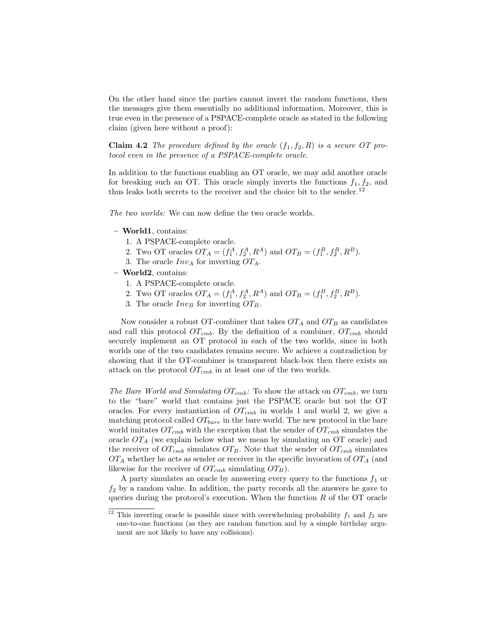On the other hand since the parties cannot invert the random functions, then the messages give them essentially no additional information. Moreover, this is true even in the presence of a PSPACE-complete oracle as stated in the following claim (given here without a proof):

**Claim 4.2** The procedure defined by the oracle  $(f_1, f_2, R)$  is a secure OT protocol even in the presence of a PSPACE-complete oracle.

In addition to the functions enabling an OT oracle, we may add another oracle for breaking such an OT. This oracle simply inverts the functions  $f_1, f_2$ , and thus leaks both secrets to the receiver and the choice bit to the sender.<sup>12</sup>

The two worlds: We can now define the two oracle worlds.

- World1, contains:
	- 1. A PSPACE-complete oracle.
	- 2. Two OT oracles  $OT_A = (f_1^A, f_2^A, R^A)$  and  $OT_B = (f_1^B, f_2^B, R^B)$ .
	- 3. The oracle  $Inv_A$  for inverting  $OT_A$ .
- World2, contains:
	- 1. A PSPACE-complete oracle.
	- 2. Two OT oracles  $OT_A = (f_1^A, f_2^A, R^A)$  and  $OT_B = (f_1^B, f_2^B, R^B)$ .
	- 3. The oracle  $Inv_B$  for inverting  $OT_B$ .

Now consider a robust OT-combiner that takes  $OT_A$  and  $OT_B$  as candidates and call this protocol  $OT_{cmb}$ . By the definition of a combiner,  $OT_{cmb}$  should securely implement an OT protocol in each of the two worlds, since in both worlds one of the two candidates remains secure. We achieve a contradiction by showing that if the OT-combiner is transparent black-box then there exists an attack on the protocol  $OT_{cmb}$  in at least one of the two worlds.

The Bare World and Simulating  $OT_{cmb}$ : To show the attack on  $OT_{cmb}$ , we turn to the "bare" world that contains just the PSPACE oracle but not the OT oracles. For every instantiation of  $OT_{cmb}$  in worlds 1 and world 2, we give a matching protocol called  $OT_{bare}$  in the bare world. The new protocol in the bare world imitates  $OT_{cmb}$  with the exception that the sender of  $OT_{cmb}$  simulates the oracle  $OT_A$  (we explain below what we mean by simulating an OT oracle) and the receiver of  $OT_{cmb}$  simulates  $OT_B$ . Note that the sender of  $OT_{cmb}$  simulates  $OT_A$  whether he acts as sender or receiver in the specific invocation of  $OT_A$  (and likewise for the receiver of  $OT_{cmb}$  simulating  $OT_B$ ).

A party simulates an oracle by answering every query to the functions  $f_1$  or  $f_2$  by a random value. In addition, the party records all the answers he gave to queries during the protocol's execution. When the function  $R$  of the OT oracle

<sup>&</sup>lt;sup>12</sup> This inverting oracle is possible since with overwhelming probability  $f_1$  and  $f_2$  are one-to-one functions (as they are random function and by a simple birthday argument are not likely to have any collisions).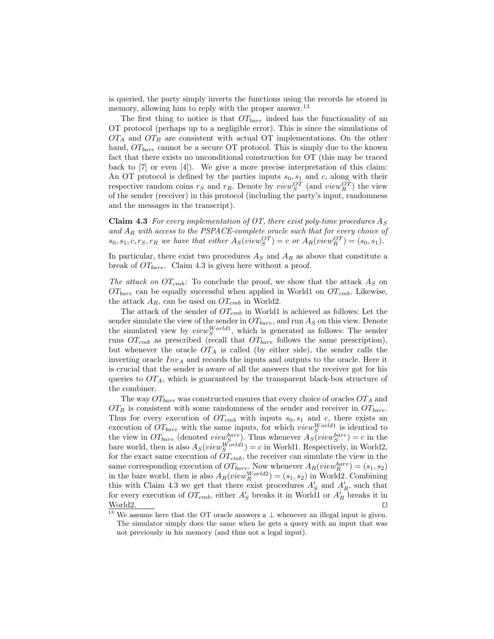is queried, the party simply inverts the functions using the records he stored in memory, allowing him to reply with the proper answer.<sup>13</sup>

The first thing to notice is that  $OT_{bare}$  indeed has the functionality of an OT protocol (perhaps up to a negligible error). This is since the simulations of  $OT_A$  and  $OT_B$  are consistent with actual OT implementations. On the other hand,  $OT_{bare}$  cannot be a secure OT protocol. This is simply due to the known fact that there exists no unconditional construction for OT (this may be traced back to [7] or even [4]). We give a more precise interpretation of this claim: An OT protocol is defined by the parties inputs  $s_0, s_1$  and c, along with their respective random coins  $r_S$  and  $r_R$ . Denote by  $view_S^{OT}$  (and  $view_R^{OT}$ ) the view of the sender (receiver) in this protocol (including the party's input, randomness and the messages in the transcript).

**Claim 4.3** For every implementation of OT, there exist poly-time procedures  $A<sub>S</sub>$ and  $A_R$  with access to the PSPACE-complete oracle such that for every choice of  $s_0, s_1, c, r_S, r_R$  we have that either  $A_S(view_S^{OT}) = c$  or  $A_R(view_R^{OT}) = (s_0, s_1)$ .

In particular, there exist two procedures  $A<sub>S</sub>$  and  $A<sub>R</sub>$  as above that constitute a break of  $OT_{bare}$ . Claim 4.3 is given here without a proof.

The attack on  $OT_{cmb}$ : To conclude the proof, we show that the attack  $A_S$  on  $OT_{bare}$  can be equally successful when applied in World1 on  $OT_{cmb}$ . Likewise, the attack  $A_R$ , can be used on  $OT_{cmb}$  in World2.

The attack of the sender of  $OT_{cmb}$  in World1 is achieved as follows: Let the sender simulate the view of the sender in  $OT_{bare}$ , and run  $A_S$  on this view. Denote the simulated view by  $view_S^{World1}$ , which is generated as follows: The sender runs  $OT_{cmb}$  as prescribed (recall that  $OT_{bare}$  follows the same prescription), but whenever the oracle  $OT_A$  is called (by either side), the sender calls the inverting oracle  $Inv_A$  and records the inputs and outputs to the oracle. Here it is crucial that the sender is aware of all the answers that the receiver got for his queries to  $OT_A$ , which is guaranteed by the transparent black-box structure of the combiner.

The way  $OT_{bare}$  was constructed ensures that every choice of oracles  $OT_A$  and  $OT_B$  is consistent with some randomness of the sender and receiver in  $OT_{bare}$ . Thus for every execution of  $OT_{cmb}$  with inputs  $s_0, s_1$  and c, there exists an execution of  $OT_{bare}$  with the same inputs, for which  $view_S^{World}$  is identical to the view in  $OT_{bare}$  (denoted  $view_S^{bare}$ ). Thus whenever  $A_S(view_S^{bare})=c$  in the bare world, then is also  $A_S(\text{view}_S^{\text{World1}}) = c$  in World1. Respectively, in World2, for the exact same execution of  $OT_{cmb}$ , the receiver can simulate the view in the same corresponding execution of  $OT_{bare}$ . Now whenever  $A_R(view^{bare}_R) = (s_1, s_2)$ in the bare world, then is also  $A_R(view_R^{World2}) = (s_1, s_2)$  in World2. Combining this with Claim 4.3 we get that there exist procedures  $A'_{S}$  and  $A'_{R}$ , such that for every execution of  $OT_{cmb}$ , either  $A'_{S}$  breaks it in World1 or  $A'_{R}$  breaks it in  $\Box$  turns to the contract of  $\Box$ 

 $^{13}$  We assume here that the OT oracle answers a  $\perp$  whenever an illegal input is given. The simulator simply does the same when he gets a query with an input that was not previously in his memory (and thus not a legal input).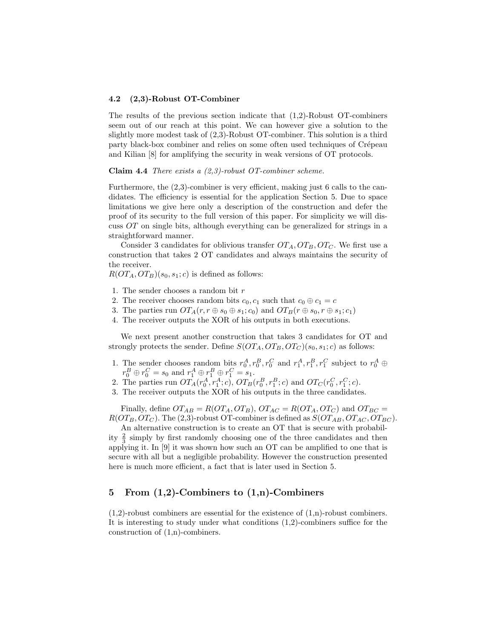#### 4.2 (2,3)-Robust OT-Combiner

The results of the previous section indicate that (1,2)-Robust OT-combiners seem out of our reach at this point. We can however give a solution to the slightly more modest task of (2,3)-Robust OT-combiner. This solution is a third party black-box combiner and relies on some often used techniques of Crépeau and Kilian [8] for amplifying the security in weak versions of OT protocols.

#### **Claim 4.4** There exists a  $(2,3)$ -robust OT-combiner scheme.

Furthermore, the (2,3)-combiner is very efficient, making just 6 calls to the candidates. The efficiency is essential for the application Section 5. Due to space limitations we give here only a description of the construction and defer the proof of its security to the full version of this paper. For simplicity we will discuss OT on single bits, although everything can be generalized for strings in a straightforward manner.

Consider 3 candidates for oblivious transfer  $OT_A, OT_B, OT_C$ . We first use a construction that takes 2 OT candidates and always maintains the security of the receiver.

 $R(OT_A, OT_B)(s_0, s_1; c)$  is defined as follows:

- 1. The sender chooses a random bit r
- 2. The receiver chooses random bits  $c_0, c_1$  such that  $c_0 \oplus c_1 = c$
- 3. The parties run  $OT_A(r, r \oplus s_0 \oplus s_1; c_0)$  and  $OT_B(r \oplus s_0, r \oplus s_1; c_1)$
- 4. The receiver outputs the XOR of his outputs in both executions.

We next present another construction that takes 3 candidates for OT and strongly protects the sender. Define  $S(OT_A, OT_B, OT_C)(s_0, s_1; c)$  as follows:

- 1. The sender chooses random bits  $r_0^A, r_0^B, r_0^C$  and  $r_1^A, r_1^B, r_1^C$  subject to  $r_0^A \oplus$  $r_0^B \oplus r_0^C = s_0$  and  $r_1^A \oplus r_1^B \oplus r_1^C = s_1$ .
- 2. The parties run  $OT_A(r_0^A, r_1^A; c)$ ,  $OT_B(r_0^B, r_1^B; c)$  and  $OT_C(r_0^C, r_1^C; c)$ .
- 3. The receiver outputs the XOR of his outputs in the three candidates.

Finally, define  $OT_{AB} = R(OT_A, OT_B)$ ,  $OT_{AC} = R(OT_A, OT_C)$  and  $OT_{BC} =$  $R(OT_B, OT_C)$ . The (2,3)-robust OT-combiner is defined as  $S(OT_{AB}, OT_{AC}, OT_{BC})$ .

An alternative construction is to create an OT that is secure with probability  $\frac{2}{3}$  simply by first randomly choosing one of the three candidates and then applying it. In [9] it was shown how such an OT can be amplified to one that is secure with all but a negligible probability. However the construction presented here is much more efficient, a fact that is later used in Section 5.

# 5 From  $(1,2)$ -Combiners to  $(1,n)$ -Combiners

 $(1,2)$ -robust combiners are essential for the existence of  $(1,n)$ -robust combiners. It is interesting to study under what conditions (1,2)-combiners suffice for the construction of (1,n)-combiners.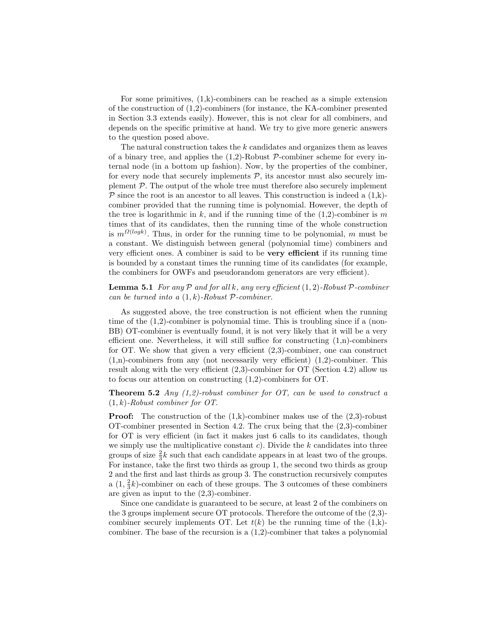For some primitives,  $(1, k)$ -combiners can be reached as a simple extension of the construction of  $(1,2)$ -combiners (for instance, the KA-combiner presented in Section 3.3 extends easily). However, this is not clear for all combiners, and depends on the specific primitive at hand. We try to give more generic answers to the question posed above.

The natural construction takes the  $k$  candidates and organizes them as leaves of a binary tree, and applies the  $(1,2)$ -Robust P-combiner scheme for every internal node (in a bottom up fashion). Now, by the properties of the combiner, for every node that securely implements  $P$ , its ancestor must also securely implement  $P$ . The output of the whole tree must therefore also securely implement  $P$  since the root is an ancestor to all leaves. This construction is indeed a  $(1, k)$ combiner provided that the running time is polynomial. However, the depth of the tree is logarithmic in k, and if the running time of the  $(1,2)$ -combiner is m times that of its candidates, then the running time of the whole construction is  $m^{\Omega(logk)}$ . Thus, in order for the running time to be polynomial, m must be a constant. We distinguish between general (polynomial time) combiners and very efficient ones. A combiner is said to be very efficient if its running time is bounded by a constant times the running time of its candidates (for example, the combiners for OWFs and pseudorandom generators are very efficient).

**Lemma 5.1** For any  $\mathcal{P}$  and for all k, any very efficient  $(1, 2)$ -Robust  $\mathcal{P}$ -combiner can be turned into a  $(1, k)$ -Robust P-combiner.

As suggested above, the tree construction is not efficient when the running time of the (1,2)-combiner is polynomial time. This is troubling since if a (non-BB) OT-combiner is eventually found, it is not very likely that it will be a very efficient one. Nevertheless, it will still suffice for constructing (1,n)-combiners for OT. We show that given a very efficient (2,3)-combiner, one can construct  $(1,n)$ -combiners from any (not necessarily very efficient)  $(1,2)$ -combiner. This result along with the very efficient  $(2,3)$ -combiner for OT (Section 4.2) allow us to focus our attention on constructing (1,2)-combiners for OT.

**Theorem 5.2** Any  $(1,2)$ -robust combiner for OT, can be used to construct a  $(1, k)$ -Robust combiner for OT.

**Proof:** The construction of the  $(1, k)$ -combiner makes use of the  $(2, 3)$ -robust OT-combiner presented in Section 4.2. The crux being that the (2,3)-combiner for OT is very efficient (in fact it makes just 6 calls to its candidates, though we simply use the multiplicative constant  $c$ ). Divide the k candidates into three groups of size  $\frac{2}{3}k$  such that each candidate appears in at least two of the groups. For instance, take the first two thirds as group 1, the second two thirds as group 2 and the first and last thirds as group 3. The construction recursively computes a  $(1, \frac{2}{3}k)$ -combiner on each of these groups. The 3 outcomes of these combiners are given as input to the (2,3)-combiner.

Since one candidate is guaranteed to be secure, at least 2 of the combiners on the 3 groups implement secure OT protocols. Therefore the outcome of the (2,3) combiner securely implements OT. Let  $t(k)$  be the running time of the  $(1, k)$ combiner. The base of the recursion is a (1,2)-combiner that takes a polynomial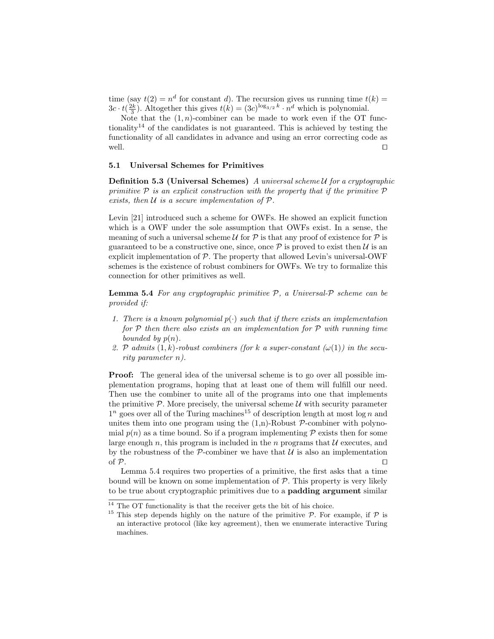time (say  $t(2) = n<sup>d</sup>$  for constant d). The recursion gives us running time  $t(k) =$  $3c \cdot t(\frac{2k}{3})$ . Altogether this gives  $t(k) = (3c)^{\log_{3/2} k} \cdot n^d$  which is polynomial.

Note that the  $(1, n)$ -combiner can be made to work even if the OT functionality <sup>14</sup> of the candidates is not guaranteed. This is achieved by testing the functionality of all candidates in advance and using an error correcting code as well.  $\Box$ 

#### 5.1 Universal Schemes for Primitives

**Definition 5.3 (Universal Schemes)** A universal scheme  $U$  for a cryptographic primitive  $P$  is an explicit construction with the property that if the primitive  $P$ exists, then  $U$  is a secure implementation of  $P$ .

Levin [21] introduced such a scheme for OWFs. He showed an explicit function which is a OWF under the sole assumption that OWFs exist. In a sense, the meaning of such a universal scheme  $\mathcal U$  for  $\mathcal P$  is that any proof of existence for  $\mathcal P$  is guaranteed to be a constructive one, since, once  $\mathcal P$  is proved to exist then  $\mathcal U$  is an explicit implementation of  $P$ . The property that allowed Levin's universal-OWF schemes is the existence of robust combiners for OWFs. We try to formalize this connection for other primitives as well.

**Lemma 5.4** For any cryptographic primitive  $P$ , a Universal- $P$  scheme can be provided if:

- 1. There is a known polynomial  $p(\cdot)$  such that if there exists an implementation for  $P$  then there also exists an an implementation for  $P$  with running time bounded by  $p(n)$ .
- 2. P admits  $(1, k)$ -robust combiners (for k a super-constant  $(\omega(1))$  in the security parameter n).

Proof: The general idea of the universal scheme is to go over all possible implementation programs, hoping that at least one of them will fulfill our need. Then use the combiner to unite all of the programs into one that implements the primitive  $P$ . More precisely, the universal scheme  $U$  with security parameter  $1<sup>n</sup>$  goes over all of the Turing machines<sup>15</sup> of description length at most log n and unites them into one program using the  $(1,n)$ -Robust  $P$ -combiner with polynomial  $p(n)$  as a time bound. So if a program implementing  $P$  exists then for some large enough n, this program is included in the n programs that  $U$  executes, and by the robustness of the  $P$ -combiner we have that  $U$  is also an implementation of  $\mathcal P$ .

Lemma 5.4 requires two properties of a primitive, the first asks that a time bound will be known on some implementation of  $P$ . This property is very likely to be true about cryptographic primitives due to a padding argument similar

 $14$  The OT functionality is that the receiver gets the bit of his choice.

<sup>&</sup>lt;sup>15</sup> This step depends highly on the nature of the primitive  $P$ . For example, if  $P$  is an interactive protocol (like key agreement), then we enumerate interactive Turing machines.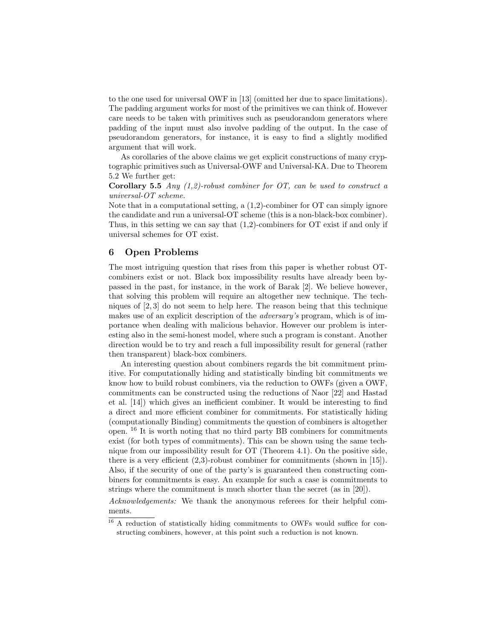to the one used for universal OWF in [13] (omitted her due to space limitations). The padding argument works for most of the primitives we can think of. However care needs to be taken with primitives such as pseudorandom generators where padding of the input must also involve padding of the output. In the case of pseudorandom generators, for instance, it is easy to find a slightly modified argument that will work.

As corollaries of the above claims we get explicit constructions of many cryptographic primitives such as Universal-OWF and Universal-KA. Due to Theorem 5.2 We further get:

**Corollary 5.5** Any  $(1,2)$ -robust combiner for OT, can be used to construct a universal-OT scheme.

Note that in a computational setting, a  $(1,2)$ -combiner for OT can simply ignore the candidate and run a universal-OT scheme (this is a non-black-box combiner). Thus, in this setting we can say that  $(1,2)$ -combiners for OT exist if and only if universal schemes for OT exist.

# 6 Open Problems

The most intriguing question that rises from this paper is whether robust OTcombiners exist or not. Black box impossibility results have already been bypassed in the past, for instance, in the work of Barak [2]. We believe however, that solving this problem will require an altogether new technique. The techniques of [2, 3] do not seem to help here. The reason being that this technique makes use of an explicit description of the adversary's program, which is of importance when dealing with malicious behavior. However our problem is interesting also in the semi-honest model, where such a program is constant. Another direction would be to try and reach a full impossibility result for general (rather then transparent) black-box combiners.

An interesting question about combiners regards the bit commitment primitive. For computationally hiding and statistically binding bit commitments we know how to build robust combiners, via the reduction to OWFs (given a OWF, commitments can be constructed using the reductions of Naor [22] and Hastad et al. [14]) which gives an inefficient combiner. It would be interesting to find a direct and more efficient combiner for commitments. For statistically hiding (computationally Binding) commitments the question of combiners is altogether open. <sup>16</sup> It is worth noting that no third party BB combiners for commitments exist (for both types of commitments). This can be shown using the same technique from our impossibility result for OT (Theorem 4.1). On the positive side, there is a very efficient (2,3)-robust combiner for commitments (shown in [15]). Also, if the security of one of the party's is guaranteed then constructing combiners for commitments is easy. An example for such a case is commitments to strings where the commitment is much shorter than the secret (as in [20]).

Acknowledgements: We thank the anonymous referees for their helpful comments.

<sup>&</sup>lt;sup>16</sup> A reduction of statistically hiding commitments to OWFs would suffice for constructing combiners, however, at this point such a reduction is not known.